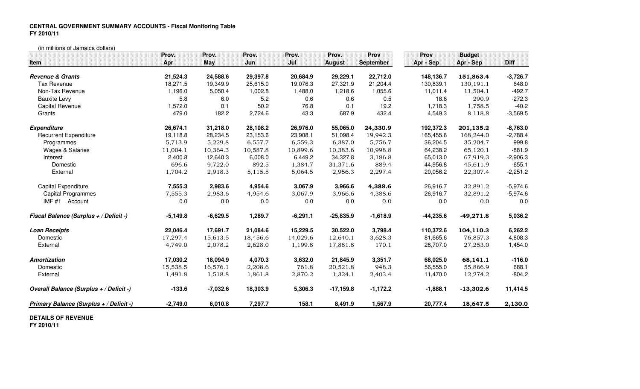## **CENTRAL GOVERNMENT SUMMARY ACCOUNTS - Fiscal Monitoring TableFY 2010/11**

(in millions of Jamaica dollars)

| Item                                    | Prov.<br>Apr | Prov.<br>May | Prov.<br>Jun | Prov.<br>Jul | Prov.<br><b>August</b> | Prov<br><b>September</b> | Prov<br><b>Budget</b><br><b>Diff</b><br>Apr - Sep<br>Apr - Sep |             |            |
|-----------------------------------------|--------------|--------------|--------------|--------------|------------------------|--------------------------|----------------------------------------------------------------|-------------|------------|
| <b>Revenue &amp; Grants</b>             | 21,524.3     | 24,588.6     | 29,397.8     | 20,684.9     | 29,229.1               | 22,712.0                 | 148,136.7                                                      | 151,863.4   | $-3,726.7$ |
| <b>Tax Revenue</b>                      | 18,271.5     | 19,349.9     | 25,615.0     | 19,076.3     | 27,321.9               | 21,204.4                 | 130,839.1                                                      | 130,191.1   | 648.0      |
| Non-Tax Revenue                         | 1,196.0      | 5,050.4      | 1,002.8      | 1,488.0      | 1,218.6                | 1,055.6                  | 11,011.4                                                       | 11,504.1    | $-492.7$   |
| <b>Bauxite Levy</b>                     | 5.8          | 6.0          | 5.2          | 0.6          | 0.6                    | 0.5                      | 18.6                                                           | 290.9       | $-272.3$   |
| Capital Revenue                         | 1,572.0      | 0.1          | 50.2         | 76.8         | 0.1                    | 19.2                     | 1,718.3                                                        | 1,758.5     | $-40.2$    |
| Grants                                  | 479.0        | 182.2        | 2,724.6      | 43.3         | 687.9                  | 432.4                    | 4,549.3                                                        | 8,118.8     | $-3,569.5$ |
| <b>Expenditure</b>                      | 26,674.1     | 31,218.0     | 28,108.2     | 26,976.0     | 55,065.0               | 24,330.9                 | 192,372.3                                                      | 201,135.2   | $-8,763.0$ |
| <b>Recurrent Expenditure</b>            | 19.118.8     | 28,234.5     | 23,153.6     | 23,908.1     | 51,098.4               | 19,942.3                 | 165.455.6                                                      | 168,244.0   | $-2,788.4$ |
| Programmes                              | 5,713.9      | 5,229.8      | 6,557.7      | 6,559.3      | 6,387.0                | 5,756.7                  | 36,204.5                                                       | 35,204.7    | 999.8      |
| <b>Wages &amp; Salaries</b>             | 11,004.1     | 10,364.3     | 10,587.8     | 10,899.6     | 10,383.6               | 10,998.8                 | 64,238.2                                                       | 65,120.1    | $-881.9$   |
| Interest                                | 2,400.8      | 12,640.3     | 6,008.0      | 6,449.2      | 34,327.8               | 3,186.8                  | 65,013.0                                                       | 67,919.3    | $-2,906.3$ |
| Domestic                                | 696.6        | 9,722.0      | 892.5        | 1,384.7      | 31,371.6               | 889.4                    | 44,956.8                                                       | 45,611.9    | $-655.1$   |
| External                                | 1,704.2      | 2,918.3      | 5,115.5      | 5,064.5      | 2,956.3                | 2,297.4                  | 20,056.2                                                       | 22,307.4    | $-2,251.2$ |
| Capital Expenditure                     | 7,555.3      | 2,983.6      | 4,954.6      | 3,067.9      | 3,966.6                | 4,388.6                  | 26,916.7                                                       | 32,891.2    | $-5,974.6$ |
| Capital Programmes                      | 7,555.3      | 2,983.6      | 4,954.6      | 3,067.9      | 3,966.6                | 4,388.6                  | 26,916.7                                                       | 32,891.2    | $-5,974.6$ |
| IMF #1 Account                          | 0.0          | 0.0          | 0.0          | 0.0          | 0.0                    | 0.0                      | 0.0                                                            | 0.0         | 0.0        |
| Fiscal Balance (Surplus + / Deficit -)  | $-5,149.8$   | $-6,629.5$   | 1,289.7      | $-6,291.1$   | $-25,835.9$            | $-1,618.9$               | $-44,235.6$                                                    | $-49,271.8$ | 5,036.2    |
| <b>Loan Receipts</b>                    | 22,046.4     | 17,691.7     | 21,084.6     | 15,229.5     | 30,522.0               | 3,798.4                  | 110,372.6                                                      | 104,110.3   | 6,262.2    |
| Domestic                                | 17,297.4     | 15,613.5     | 18,456.6     | 14,029.6     | 12,640.1               | 3,628.3                  | 81,665.6                                                       | 76,857.3    | 4,808.3    |
| External                                | 4,749.0      | 2,078.2      | 2,628.0      | 1,199.8      | 17,881.8               | 170.1                    | 28,707.0                                                       | 27,253.0    | 1,454.0    |
| <b>Amortization</b>                     | 17,030.2     | 18,094.9     | 4,070.3      | 3,632.0      | 21,845.9               | 3,351.7                  | 68,025.0                                                       | 68,141.1    | $-116.0$   |
| Domestic                                | 15,538.5     | 16,576.1     | 2,208.6      | 761.8        | 20,521.8               | 948.3                    | 56,555.0                                                       | 55,866.9    | 688.1      |
| External                                | 1,491.8      | 1,518.8      | 1,861.8      | 2,870.2      | 1,324.1                | 2,403.4                  | 11,470.0                                                       | 12,274.2    | $-804.2$   |
| Overall Balance (Surplus + / Deficit -) | $-133.6$     | $-7,032.6$   | 18,303.9     | 5,306.3      | $-17,159.8$            | $-1,172.2$               | $-1,888.1$                                                     | $-13,302.6$ | 11,414.5   |
| Primary Balance (Surplus + / Deficit -) | $-2,749.0$   | 6,010.8      | 7,297.7      | 158.1        | 8,491.9                | 1,567.9                  | 20,777.4                                                       | 18,647.5    | 2,130.0    |

## **DETAILS OF REVENUE**

**FY 2010/11**